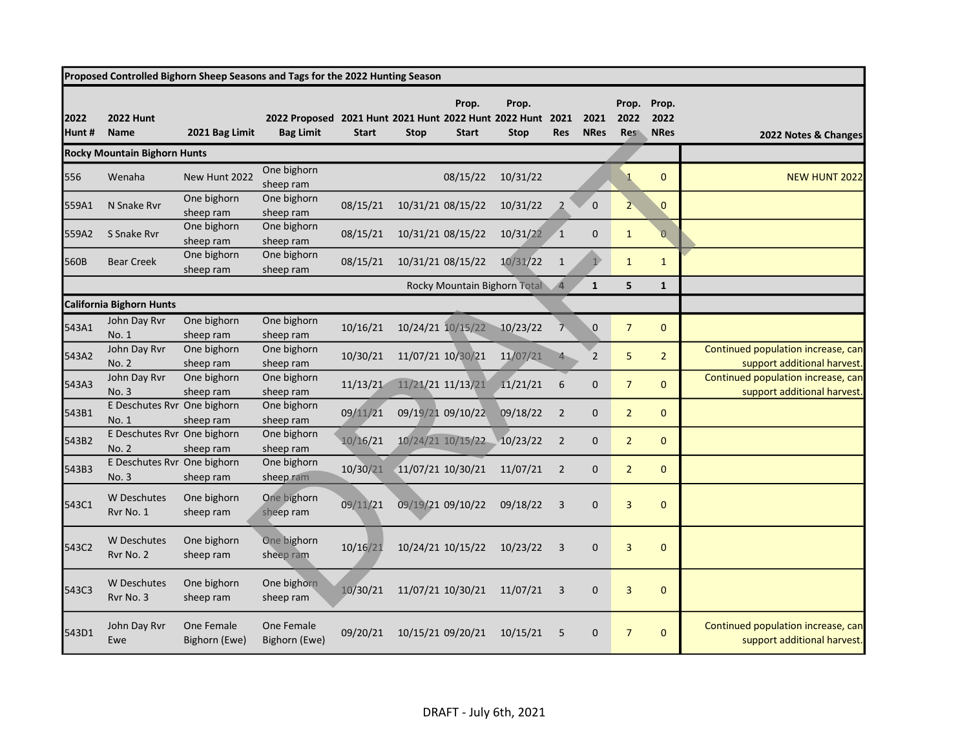| Proposed Controlled Bighorn Sheep Seasons and Tags for the 2022 Hunting Season |                                      |                             |                                                                           |              |             |                       |                                |                    |                     |                             |                              |                                                                   |
|--------------------------------------------------------------------------------|--------------------------------------|-----------------------------|---------------------------------------------------------------------------|--------------|-------------|-----------------------|--------------------------------|--------------------|---------------------|-----------------------------|------------------------------|-------------------------------------------------------------------|
| 2022<br>Hunt#                                                                  | <b>2022 Hunt</b><br><b>Name</b>      | 2021 Bag Limit              | 2022 Proposed 2021 Hunt 2021 Hunt 2022 Hunt 2022 Hunt<br><b>Bag Limit</b> | <b>Start</b> | <b>Stop</b> | Prop.<br><b>Start</b> | Prop.<br><b>Stop</b>           | 2021<br><b>Res</b> | 2021<br><b>NRes</b> | Prop.<br>2022<br><b>Res</b> | Prop.<br>2022<br><b>NRes</b> | 2022 Notes & Changes                                              |
|                                                                                | <b>Rocky Mountain Bighorn Hunts</b>  |                             |                                                                           |              |             |                       |                                |                    |                     |                             |                              |                                                                   |
| 556                                                                            | Wenaha                               | New Hunt 2022               | One bighorn<br>sheep ram                                                  |              |             | 08/15/22              | 10/31/22                       |                    |                     |                             | $\mathbf{0}$                 | <b>NEW HUNT 2022</b>                                              |
| 559A1                                                                          | N Snake Ryr                          | One bighorn<br>sheep ram    | One bighorn<br>sheep ram                                                  | 08/15/21     |             | 10/31/21 08/15/22     | 10/31/22                       |                    | $\Omega$            |                             | $\mathbf{0}$                 |                                                                   |
| 559A2                                                                          | S Snake Ryr                          | One bighorn<br>sheep ram    | One bighorn<br>sheep ram                                                  | 08/15/21     |             | 10/31/21 08/15/22     | 10/31/22                       | 1                  | $\Omega$            | $\mathbf{1}$                | $\overline{0}$               |                                                                   |
| 560B                                                                           | <b>Bear Creek</b>                    | One bighorn<br>sheep ram    | One bighorn<br>sheep ram                                                  | 08/15/21     |             | 10/31/21 08/15/22     | 10/31/22                       | $\mathbf{1}$       | $\mathbf{1}$        | $\mathbf{1}$                | $\mathbf{1}$                 |                                                                   |
|                                                                                |                                      |                             |                                                                           |              |             |                       | Rocky Mountain Bighorn Total 4 |                    | $\mathbf{1}$        | 5                           | $\mathbf{1}$                 |                                                                   |
|                                                                                | California Bighorn Hunts             |                             |                                                                           |              |             |                       |                                |                    |                     |                             |                              |                                                                   |
| 543A1                                                                          | John Day Rvr<br>No. 1                | One bighorn<br>sheep ram    | One bighorn<br>sheep ram                                                  | 10/16/21     |             | 10/24/21 10/15/22     | 10/23/22                       |                    | $\overline{0}$      | $\overline{7}$              | $\mathbf{0}$                 |                                                                   |
| 543A2                                                                          | John Day Rvr<br>No. 2                | One bighorn<br>sheep ram    | One bighorn<br>sheep ram                                                  | 10/30/21     |             | 11/07/21 10/30/21     | 11/07/21                       |                    | $\overline{2}$      | 5                           | $\overline{2}$               | Continued population increase, can<br>support additional harvest. |
| 543A3                                                                          | John Day Rvr<br>No. 3                | One bighorn<br>sheep ram    | One bighorn<br>sheep ram                                                  | 11/13/21     |             | 11/21/21 11/13/21     | 11/21/21                       | 6                  | $\mathbf 0$         | $\overline{7}$              | $\mathbf{0}$                 | Continued population increase, can<br>support additional harvest. |
| 543B1                                                                          | E Deschutes Rvr One bighorn<br>No. 1 | sheep ram                   | One bighorn<br>sheep ram                                                  | 09/11/21     |             | 09/19/21 09/10/22     | 09/18/22                       | $\overline{2}$     | $\mathbf 0$         | $\overline{2}$              | $\mathbf{0}$                 |                                                                   |
| 543B2                                                                          | E Deschutes Ryr One bighorn<br>No. 2 | sheep ram                   | One bighorn<br>sheep ram                                                  | 10/16/21     |             | 10/24/21 10/15/22     | 10/23/22                       | $\overline{2}$     | $\mathbf 0$         | $\overline{2}$              | $\mathbf{0}$                 |                                                                   |
| 543B3                                                                          | E Deschutes Rvr One bighorn<br>No. 3 | sheep ram                   | One bighorn<br>sheep ram                                                  | 10/30/21     |             | 11/07/21 10/30/21     | 11/07/21                       | $\overline{2}$     | $\Omega$            | $\overline{2}$              | $\mathbf{0}$                 |                                                                   |
| 543C1                                                                          | <b>W</b> Deschutes<br>Rvr No. 1      | One bighorn<br>sheep ram    | One bighorn<br>sheep ram                                                  | 09/11/21     |             | 09/19/21 09/10/22     | 09/18/22                       | 3                  | $\mathbf 0$         | 3                           | $\mathbf 0$                  |                                                                   |
| 543C2                                                                          | <b>W</b> Deschutes<br>Rvr No. 2      | One bighorn<br>sheep ram    | One bighorn<br>sheep ram                                                  | 10/16/21     |             | 10/24/21 10/15/22     | 10/23/22                       | 3                  | $\mathbf 0$         | 3                           | $\mathbf{0}$                 |                                                                   |
| 543C3                                                                          | <b>W</b> Deschutes<br>Rvr No. 3      | One bighorn<br>sheep ram    | One bighorn<br>sheep ram                                                  | 10/30/21     |             | 11/07/21 10/30/21     | 11/07/21                       | 3                  | $\mathbf 0$         | 3                           | $\mathbf{0}$                 |                                                                   |
| 543D1                                                                          | John Day Rvr<br>Ewe                  | One Female<br>Bighorn (Ewe) | One Female<br>Bighorn (Ewe)                                               | 09/20/21     |             | 10/15/21 09/20/21     | 10/15/21                       | 5                  | $\mathbf 0$         | $\overline{7}$              | $\mathbf{0}$                 | Continued population increase, can<br>support additional harvest. |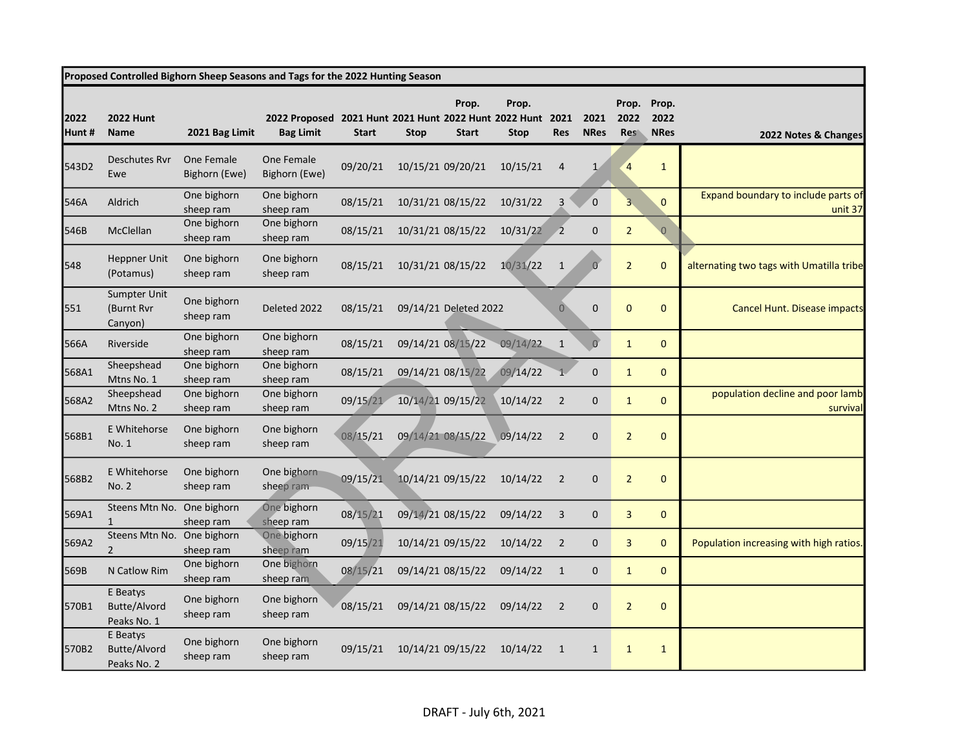| Proposed Controlled Bighorn Sheep Seasons and Tags for the 2022 Hunting Season |                                         |                             |                                                                                |              |             |                       |                      |                |                     |                             |                              |                                                |
|--------------------------------------------------------------------------------|-----------------------------------------|-----------------------------|--------------------------------------------------------------------------------|--------------|-------------|-----------------------|----------------------|----------------|---------------------|-----------------------------|------------------------------|------------------------------------------------|
| 2022<br>Hunt #                                                                 | <b>2022 Hunt</b><br><b>Name</b>         | 2021 Bag Limit              | 2022 Proposed 2021 Hunt 2021 Hunt 2022 Hunt 2022 Hunt 2021<br><b>Bag Limit</b> | <b>Start</b> | <b>Stop</b> | Prop.<br><b>Start</b> | Prop.<br><b>Stop</b> | <b>Res</b>     | 2021<br><b>NRes</b> | Prop.<br>2022<br><b>Res</b> | Prop.<br>2022<br><b>NRes</b> | 2022 Notes & Changes                           |
| 543D2                                                                          | Deschutes Rvr<br>Ewe                    | One Female<br>Bighorn (Ewe) | One Female<br>Bighorn (Ewe)                                                    | 09/20/21     |             | 10/15/21 09/20/21     | 10/15/21             | $\overline{4}$ | $\mathbf{1}$        | $\overline{4}$              | $\mathbf{1}$                 |                                                |
| 546A                                                                           | Aldrich                                 | One bighorn<br>sheep ram    | One bighorn<br>sheep ram                                                       | 08/15/21     |             | 10/31/21 08/15/22     | 10/31/22             | 3              | $\overline{0}$      | $\overline{\mathbf{3}}$     | $\Omega$                     | Expand boundary to include parts of<br>unit 37 |
| 546B                                                                           | McClellan                               | One bighorn<br>sheep ram    | One bighorn<br>sheep ram                                                       | 08/15/21     |             | 10/31/21 08/15/22     | 10/31/22             |                | $\mathbf 0$         | $\overline{2}$              | $\overline{0}$               |                                                |
| 548                                                                            | Heppner Unit<br>(Potamus)               | One bighorn<br>sheep ram    | One bighorn<br>sheep ram                                                       | 08/15/21     |             | 10/31/21 08/15/22     | 10/31/22             | $\mathbf{1}$   | $\overline{0}$      | $\overline{2}$              | $\mathbf 0$                  | alternating two tags with Umatilla tribe       |
| 551                                                                            | Sumpter Unit<br>(Burnt Rvr<br>Canyon)   | One bighorn<br>sheep ram    | Deleted 2022                                                                   | 08/15/21     |             | 09/14/21 Deleted 2022 |                      | $\overline{0}$ | $\mathbf 0$         | $\mathbf{0}$                | $\mathbf{0}$                 | Cancel Hunt. Disease impacts                   |
| 566A                                                                           | Riverside                               | One bighorn<br>sheep ram    | One bighorn<br>sheep ram                                                       | 08/15/21     |             | 09/14/21 08/15/22     | 09/14/22             | $\mathbf{1}$   | $\overline{0}$      | $\mathbf{1}$                | $\mathbf 0$                  |                                                |
| 568A1                                                                          | Sheepshead<br>Mtns No. 1                | One bighorn<br>sheep ram    | One bighorn<br>sheep ram                                                       | 08/15/21     |             | 09/14/21 08/15/22     | 09/14/22             |                | $\mathbf 0$         | $\mathbf{1}$                | $\mathbf{0}$                 |                                                |
| 568A2                                                                          | Sheepshead<br>Mtns No. 2                | One bighorn<br>sheep ram    | One bighorn<br>sheep ram                                                       | 09/15/21     |             | 10/14/21 09/15/22     | 10/14/22             | $\overline{2}$ | $\mathbf 0$         | $\mathbf{1}$                | $\mathbf{0}$                 | population decline and poor lamb<br>survival   |
| 568B1                                                                          | E Whitehorse<br>No. 1                   | One bighorn<br>sheep ram    | One bighorn<br>sheep ram                                                       | 08/15/21     |             | 09/14/21 08/15/22     | 09/14/22             | $\overline{2}$ | $\mathbf 0$         | $\overline{2}$              | $\mathbf 0$                  |                                                |
| 568B2                                                                          | E Whitehorse<br><b>No. 2</b>            | One bighorn<br>sheep ram    | One bighorn<br>sheep ram                                                       | 09/15/21     |             | 10/14/21 09/15/22     | 10/14/22             | $\overline{2}$ | $\mathbf 0$         | $\overline{2}$              | $\mathbf 0$                  |                                                |
| 569A1                                                                          | Steens Mtn No.<br>$\mathbf{1}$          | One bighorn<br>sheep ram    | One bighorn<br>sheep ram                                                       | 08/15/21     |             | 09/14/21 08/15/22     | 09/14/22             | $\overline{3}$ | $\mathbf 0$         | 3                           | $\pmb{0}$                    |                                                |
| 569A2                                                                          | Steens Mtn No.<br>2                     | One bighorn<br>sheep ram    | One bighorn<br>sheep ram                                                       | 09/15/21     |             | 10/14/21 09/15/22     | 10/14/22             | $\overline{2}$ | $\mathbf 0$         | 3                           | $\mathbf{0}$                 | Population increasing with high ratios.        |
| 569B                                                                           | N Catlow Rim                            | One bighorn<br>sheep ram    | One bighorn<br>sheep ram                                                       | 08/15/21     |             | 09/14/21 08/15/22     | 09/14/22             | $\mathbf{1}$   | $\mathbf 0$         | $\mathbf{1}$                | $\mathbf{0}$                 |                                                |
| 570B1                                                                          | E Beatys<br>Butte/Alvord<br>Peaks No. 1 | One bighorn<br>sheep ram    | One bighorn<br>sheep ram                                                       | 08/15/21     |             | 09/14/21 08/15/22     | 09/14/22             | $\overline{2}$ | $\mathbf 0$         | $\overline{2}$              | $\mathbf 0$                  |                                                |
| 570B2                                                                          | E Beatys<br>Butte/Alvord<br>Peaks No. 2 | One bighorn<br>sheep ram    | One bighorn<br>sheep ram                                                       | 09/15/21     |             | 10/14/21 09/15/22     | 10/14/22             | 1              | $\mathbf{1}$        | $\mathbf{1}$                | $\mathbf{1}$                 |                                                |